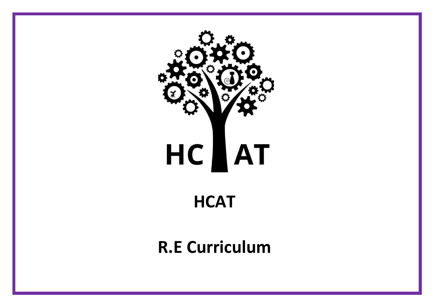

# **HCAT**

# **R.E Curriculum**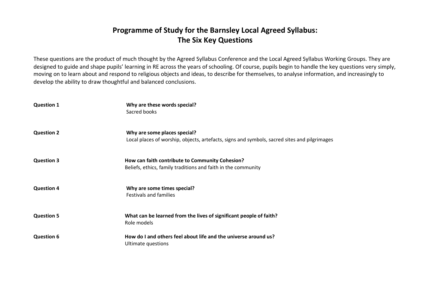# **Programme of Study for the Barnsley Local Agreed Syllabus: The Six Key Questions**

These questions are the product of much thought by the Agreed Syllabus Conference and the Local Agreed Syllabus Working Groups. They are designed to guide and shape pupils' learning in RE across the years of schooling. Of course, pupils begin to handle the key questions very simply, moving on to learn about and respond to religious objects and ideas, to describe for themselves, to analyse information, and increasingly to develop the ability to draw thoughtful and balanced conclusions.

| <b>Question 1</b> | Why are these words special?<br>Sacred books                                                                                 |
|-------------------|------------------------------------------------------------------------------------------------------------------------------|
| <b>Question 2</b> | Why are some places special?<br>Local places of worship, objects, artefacts, signs and symbols, sacred sites and pilgrimages |
| <b>Question 3</b> | How can faith contribute to Community Cohesion?<br>Beliefs, ethics, family traditions and faith in the community             |
| <b>Question 4</b> | Why are some times special?<br><b>Festivals and families</b>                                                                 |
| <b>Question 5</b> | What can be learned from the lives of significant people of faith?<br>Role models                                            |
| <b>Question 6</b> | How do I and others feel about life and the universe around us?<br>Ultimate questions                                        |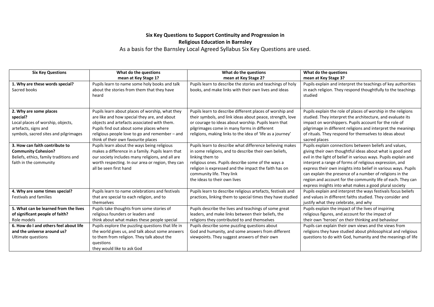### **Six Key Questions to Support Continuity and Progression in Religious Education in Barnsley**

As a basis for the Barnsley Local Agreed Syllabus Six Key Questions are used.

| <b>Six Key Questions</b>               | What do the questions                              | What do the questions                                       | What do the questions                                           |
|----------------------------------------|----------------------------------------------------|-------------------------------------------------------------|-----------------------------------------------------------------|
|                                        | mean at Key Stage 1?                               | mean at Key Stage 2?                                        | mean at Key Stage 3?                                            |
| 1. Why are these words special?        | Pupils learn to name some holy books and talk      | Pupils learn to describe the stories and teachings of holy  | Pupils explain and interpret the teachings of key authorities   |
| Sacred books                           | about the stories from them that they have         | books, and make links with their own lives and ideas        | in each religion. They respond thoughtfully to the teachings    |
|                                        | heard                                              |                                                             | studied                                                         |
|                                        |                                                    |                                                             |                                                                 |
| 2. Why are some places                 | Pupils learn about places of worship, what they    | Pupils learn to describe different places of worship and    | Pupils explain the role of places of worship in the religions   |
| special?                               | are like and how special they are, and about       | their symbols, and link ideas about peace, strength, love   | studied. They interpret the architecture, and evaluate its      |
| Local places of worship, objects,      | objects and artefacts associated with them.        | or courage to ideas about worship. Pupils learn that        | impact on worshippers. Pupils account for the role of           |
| artefacts, signs and                   | Pupils find out about some places where            | pilgrimages come in many forms in different                 | pilgrimage in different religions and interpret the meanings    |
| symbols, sacred sites and pilgrimages  | religious people love to go and remember $-$ and   | religions, making links to the idea of 'life as a journey'  | of rituals. They respond for themselves to ideas about          |
|                                        | think of their own favourite places                |                                                             | sacred places                                                   |
| 3. How can faith contribute to         | Pupils learn about the ways being religious        | Pupils learn to describe what difference believing makes    | Pupils explain connections between beliefs and values,          |
| <b>Community Cohesion?</b>             | makes a difference in a family. Pupils learn that  | in some religions, and to describe their own beliefs,       | giving their own thoughtful ideas about what is good and        |
| Beliefs, ethics, family traditions and | our society includes many religions, and all are   | linking them to                                             | evil in the light of belief in various ways. Pupils explain and |
| faith in the community                 | worth respecting. In our area or region, they can  | religious ones. Pupils describe some of the ways a          | interpret a range of forms of religious expression, and         |
|                                        | all be seen first hand                             | religion is expressed and the impact the faith has on       | express their own insights into belief in various ways. Pupils  |
|                                        |                                                    | community life. They link                                   | can explain the presence of a number of religions in the        |
|                                        |                                                    | the ideas to their own lives                                | region and account for the community life of each. They can     |
|                                        |                                                    |                                                             | express insights into what makes a good plural society          |
| 4. Why are some times special?         | Pupils learn to name celebrations and festivals    | Pupils learn to describe religious artefacts, festivals and | Pupils explain and interpret the ways festivals focus beliefs   |
| <b>Festivals and families</b>          | that are special to each religion, and to          | practices, linking them to special times they have studied  | and values in different faiths studied. They consider and       |
|                                        | themselves                                         |                                                             | justify what they celebrate, and why                            |
| 5. What can be learned from the lives  | Pupils take thoughts from some stories of          | Pupils describe the lives and teachings of some great       | Pupils explain the impact of the lives of inspiring             |
| of significant people of faith?        | religious founders or leaders and                  | leaders, and make links between their beliefs, the          | religious figures, and account for the impact of                |
| Role models                            | think about what makes these people special        | religions they contributed to and themselves                | their own 'heroes' on their thinking and behaviour              |
| 6. How do I and others feel about life | Pupils explore the puzzling questions that life in | Pupils describe some puzzling questions about               | Pupils can explain their own views and the views from           |
| and the universe around us?            | the world gives us, and talk about some answers    | God and humanity, and some answers from different           | religions they have studied about philosophical and religious   |
| Ultimate questions                     | to them from religion. They talk about the         | viewpoints. They suggest answers of their own               | questions to do with God, humanity and the meanings of life     |
|                                        | questions                                          |                                                             |                                                                 |
|                                        | they would like to ask God                         |                                                             |                                                                 |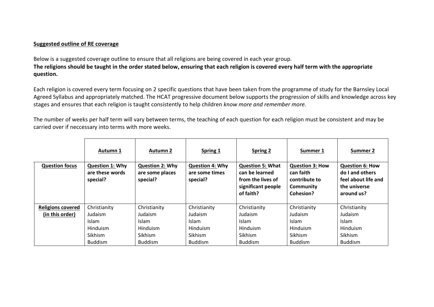#### **Suggested outline of RE coverage**

Below is a suggested coverage outline to ensure that all religions are being covered in each year group. **The religions should be taught in the order stated below, ensuring that each religion is covered every half term with the appropriate question.**

Each religion is covered every term focusing on 2 specific questions that have been taken from the programme of study for the Barnsley Local Agreed Syllabus and appropriately matched. The HCAT progressive document below supports the progression of skills and knowledge across key stages and ensures that each religion is taught consistently to help children *know more and remember more.*

The number of weeks per half term will vary between terms, the teaching of each question for each religion must be consistent and may be carried over if neccessary into terms with more weeks.

|                          | Autumn 1                                              | <b>Autumn 2</b>                                       | Spring 1                                             | <b>Spring 2</b>                                                                                   | Summer 1                                                                              | Summer 2                                                                                       |
|--------------------------|-------------------------------------------------------|-------------------------------------------------------|------------------------------------------------------|---------------------------------------------------------------------------------------------------|---------------------------------------------------------------------------------------|------------------------------------------------------------------------------------------------|
| <b>Question focus</b>    | <b>Question 1: Why</b><br>are these words<br>special? | <b>Question 2: Why</b><br>are some places<br>special? | <b>Question 4: Why</b><br>are some times<br>special? | <b>Question 5: What</b><br>can be learned<br>from the lives of<br>significant people<br>of faith? | <b>Question 3: How</b><br>can faith<br>contribute to<br><b>Community</b><br>Cohesion? | <b>Question 6: How</b><br>do I and others<br>feel about life and<br>the universe<br>around us? |
| <b>Religions covered</b> | Christianity                                          | Christianity                                          | Christianity                                         | Christianity                                                                                      | Christianity                                                                          | Christianity                                                                                   |
| (in this order)          | Judaism                                               | Judaism                                               | Judaism                                              | Judaism                                                                                           | Judaism                                                                               | Judaism                                                                                        |
|                          | Islam                                                 | <b>Islam</b>                                          | <b>Islam</b>                                         | <b>Islam</b>                                                                                      | <b>Islam</b>                                                                          | <b>Islam</b>                                                                                   |
|                          | Hinduism                                              | <b>Hinduism</b>                                       | <b>Hinduism</b>                                      | Hinduism                                                                                          | Hinduism                                                                              | <b>Hinduism</b>                                                                                |
|                          | Sikhism                                               | Sikhism                                               | <b>Sikhism</b>                                       | Sikhism                                                                                           | Sikhism                                                                               | Sikhism                                                                                        |
|                          | <b>Buddism</b>                                        | <b>Buddism</b>                                        | <b>Buddism</b>                                       | <b>Buddism</b>                                                                                    | <b>Buddism</b>                                                                        | <b>Buddism</b>                                                                                 |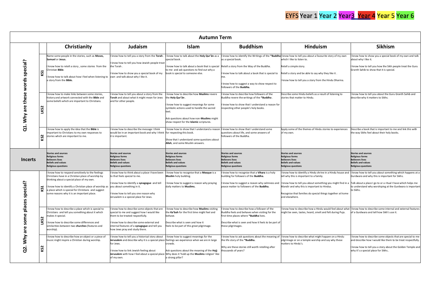|                                  | <b>Autumn Term</b>    |                                                                                                                                                                                                                                                                                                             |                                                                                                                                                                                                                                                                                                                        |                                                                                                                                                                                                                                                                    |                                                                                                                                                                                                                      |                                                                                                                                                                                                                                                                                                                                                             |                                                                                                                                                                                                                            |
|----------------------------------|-----------------------|-------------------------------------------------------------------------------------------------------------------------------------------------------------------------------------------------------------------------------------------------------------------------------------------------------------|------------------------------------------------------------------------------------------------------------------------------------------------------------------------------------------------------------------------------------------------------------------------------------------------------------------------|--------------------------------------------------------------------------------------------------------------------------------------------------------------------------------------------------------------------------------------------------------------------|----------------------------------------------------------------------------------------------------------------------------------------------------------------------------------------------------------------------|-------------------------------------------------------------------------------------------------------------------------------------------------------------------------------------------------------------------------------------------------------------------------------------------------------------------------------------------------------------|----------------------------------------------------------------------------------------------------------------------------------------------------------------------------------------------------------------------------|
|                                  |                       | Christianity                                                                                                                                                                                                                                                                                                | Judaism                                                                                                                                                                                                                                                                                                                | <b>Islam</b>                                                                                                                                                                                                                                                       | <b>Buddhism</b>                                                                                                                                                                                                      | <b>Hinduism</b>                                                                                                                                                                                                                                                                                                                                             | <b>Sikhism</b>                                                                                                                                                                                                             |
|                                  | $\overline{\text{K}}$ | Name some people in the stories, such as Moses,<br>Samuel or Jesus.<br>know how to retell a story, some stories from the<br>hristian Bible.<br>know how to talk about how I feel when listening to own and talk about why I like it.<br>story from the Bible.                                               | know how to tell you a story from the Torah.<br>I know how to tell you how Jewish people treat<br>the Torah.<br>I know how to show you a special book of my                                                                                                                                                            | know how to talk about the Holy Qur'an as a<br>pecial book.<br>know how to talk about a book that is special<br>to me and ask questions to find out why a<br>book is special to someone else.                                                                      | as a special book.<br>Retell a story from the Way of the Buddha.<br>I know how to talk about a book that is special to<br>I know how to suggest a way to show respect to<br>followers of the Buddha.                 | I know how to identify the Writings of the *Buddhal know how to tell you about a favourite story of my own<br>vhich I like to listen to.<br>Retell a simple story.<br>Retell a story and be able to say why they like it.<br>know how to tell you a story from the Hindu Dharma.                                                                            | know how to show you a special book of my own and talk<br>about why I like it.<br>know how to tell you how the Sikh people treat the Guru<br>Granth Sahib to show that it is special.                                      |
| Q1. Why are these words special? | <b>TKS2</b>           | know how to make links between some stories,<br>nistory and artwork connected with the Bible and<br>some beliefs which are important to Christians.                                                                                                                                                         | I know how to tell you about a story from the<br>Torah and about what it might mean for Jews<br>and for other people.                                                                                                                                                                                                  | know how to describe how Muslims revere<br>: he <b>Holy Qur'ān</b><br>know how to suggest meanings for some<br>symbolic actions used to handle the sacred<br>text.<br>Ask questions about how non-Muslims might<br>show respect for the <b>Islamic</b> scriptures. | I know how to describe how followers of the<br>Buddha revere the writings of the *Buddha.<br>know how to show that I understand a reason for<br>especting other people's holy books.                                 | Describe some Hindu beliefs as a result of listening to<br>tories that matter to Hindu.                                                                                                                                                                                                                                                                     | know how to tell you about the Guru Granth Sahib and<br>describe why it matters to Sikhs.                                                                                                                                  |
|                                  | K <sub>S</sub> 2      | know how to apply the idea that the Bible is<br>nportant to Christians to my own responses to<br>stories which are important to me.                                                                                                                                                                         | I know how to describe the message I think<br>would be in an important book and why I think<br>it is important.                                                                                                                                                                                                        | know how to show that I understand a reason<br>for respecting this book.<br>Show that I understand some questions about<br>Allah, and some Muslim answers.                                                                                                         | I know how to show that I understand some<br>questions about life, and some answers of<br>followers of the Buddha.                                                                                                   | Apply some of the themes of Hindu stories to experiences<br>if my own.                                                                                                                                                                                                                                                                                      | Describe a book that is important to me and link this with<br>he way Sikhs feel about their holy books.                                                                                                                    |
| <b>Incerts</b>                   |                       | <b>Stories and sources</b><br><b>Religious forms</b><br><b>Believers lives</b><br>Beliefs and values<br>Religious questions                                                                                                                                                                                 | <b>Stories and sources</b><br><b>Religious forms</b><br><b>Believers lives</b><br><b>Beliefs and values</b><br><b>Religious questions</b>                                                                                                                                                                              | <b>Stories and sources</b><br>Religious forms<br><b>Believers lives</b><br><b>Beliefs and values</b><br><b>Religious questions</b>                                                                                                                                 | <b>Stories and sources</b><br><b>Religious forms</b><br><b>Believers lives</b><br><b>Beliefs and values</b><br><b>Religious questions</b>                                                                            | Stories and sources<br>Religious forms<br><b>Believers lives</b><br><b>Beliefs and values</b><br><b>Religious questions</b>                                                                                                                                                                                                                                 | <b>Stories and sources</b><br><b>Religious forms</b><br><b>Believers lives</b><br>Beliefs and values<br><b>Religious questions</b>                                                                                         |
|                                  | KS1                   | know how to respond sensitively to the feelings<br>hristians have in a Christian place of worship by<br>hinking about a special place of my own.<br>know how to identify a Christian place of worship as<br>place which is special for Christians and suggest<br>some reasons why it is an important place. | I know how to think about a place I have been<br>to that feels special to me.<br>I know how to identify a synagogue and tell<br>you about something in it.<br>I know how to tell you one reason why<br>Jerusalem is a special place for Jews.                                                                          | know how to recognise that a Mosque is a<br>Muslim holy building.<br>know how to suggest a reason why praying<br>daily matters to Muslims.                                                                                                                         | know how to recognise that a Vihara is a holy<br>building for followers of the Buddha.<br>know how to suggest a reason why calmness and<br>peace matter to followers of the Buddha.                                  | know how to identify a Hindu shrine in a Hindu house and<br>tell why this is important to a family.<br>know how to tell you about something you might find in a Talk about a place I go to or a ritual I have which helps me<br>Mandir and why this is important to Hindus.<br>Recognise that families do special things together at home<br>and elsewhere. | know how to tell you about something which happens at a<br>Gurdwara and why this is important for Sikhs.<br>to understand why worshiping at the Gurdwara is important<br>to Sikhs.                                         |
| Q2. Why are some places special? | LKS2                  | know how to describe a place which is special to<br>hristians and tell you something about it which<br>nakes it special.<br>know how to describe some differences and<br>similarities between two churches (features and<br>worship).                                                                       | I know how to describe some objects that are<br>special to me and suggest how I would like<br>them to be treated respectfully.<br>know how to describe some external and<br>internal features of a synagogue and tell you<br>how Jews pray and study there.                                                            | know how to describe how Muslims visiting<br>the Ka'bah for the first time might feel and<br>behave.<br>Describe what is seen and how it<br>feels to be part of this great pilgrimage.                                                                             | know how to describe how a follower of the<br>Buddha feels and behaves when visiting for the<br>first-time places where *Buddha lives.<br>Describe what is seen and how it feels to be part of<br>these pilgrimages. | know how to describe how a Hindu would feel about what<br>ight be seen, tastes, heard, smelt and felt during Puja.                                                                                                                                                                                                                                          | know how to describe some internal and external features<br>f a Gurdwara and tell how Sikh's use it.                                                                                                                       |
|                                  | Š                     | know how to describe how an object or a piece of<br>music might inspire a Christian during worship.                                                                                                                                                                                                         | know how to tell you a historical story about<br>Jerusalem and describe why it is a special place feelings we experience when we are in large<br>for Jews.<br>I know how to link Jewish feeling about<br>Jerusalem with how I feel about a special place Why does it 'hold up the Muslims religion' like<br>of my own. | know how to suggest meanings for the<br>crowds.<br>Ask questions about the meaning of the Hajj:<br>a strong pillar?                                                                                                                                                | know how to ask questions about the meaning of<br>the life story of the *Buddha.<br>Why are these stories still worth retelling after<br>housands of years?                                                          | know how to describe what might happen on a Hindu<br>pilgrimage or on a temple worship and say why these<br>natters to Hindu's.                                                                                                                                                                                                                             | know how to describe some objects that are special to me<br>and describe how I would like them to be treat respectfully.<br>know how to tell you a story about the Golden Temple and<br>why it's a special place for Sikhs |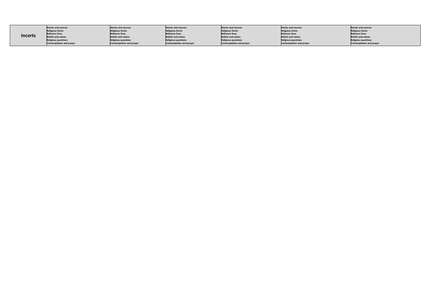| <b>Incerts</b> | <b>Stories and sources</b>      | <b>Stories and sources</b>      | <b>Stories and sources</b>      | <b>Stories and sources</b> | <b>Stories and sources</b>      | <b>Stories and sources</b>      |
|----------------|---------------------------------|---------------------------------|---------------------------------|----------------------------|---------------------------------|---------------------------------|
|                | <b>Religious forms</b>          | <b>Religious forms</b>          | <b>Religious forms</b>          | <b>Religious forms</b>     | <b>Religious forms</b>          | <b>Religious forms</b>          |
|                | <b>Believers lives</b>          | <b>Believers lives</b>          | <b>Believers lives</b>          | <b>Believers lives</b>     | <b>Believers lives</b>          | <b>Believers lives</b>          |
|                | <b>Beliefs and values</b>       | <b>Beliefs and values</b>       | <b>Beliefs and values</b>       | <b>Beliefs and values</b>  | <b>Beliefs and values</b>       | <b>Beliefs and values</b>       |
|                | <b>Religious questions</b>      | <b>Religious questions</b>      | <b>Religious questions</b>      | <b>Religious questions</b> | <b>Religious questions</b>      | <b>Religious questions</b>      |
|                | <b>Contemplation and prayer</b> | <b>Contemplation and prayer</b> | <b>Contemplation and prayer</b> | Contemplation and prayer   | <b>Contemplation and prayer</b> | <b>Contemplation and prayer</b> |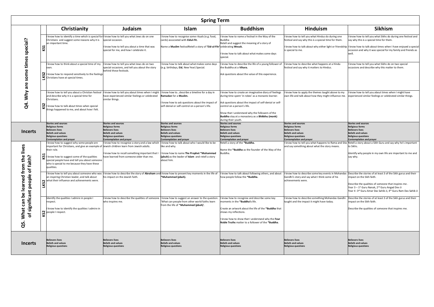|                                                                    | <b>Spring Term</b> |                                                                                                                                                                                                                                                                                                                   |                                                                                                                                            |                                                                                                                                                                          |                                                                                                                                                                                                                                                                                                                                 |                                                                                                                                                                                           |                                                                                                                                                                                                                                                                                                                      |  |
|--------------------------------------------------------------------|--------------------|-------------------------------------------------------------------------------------------------------------------------------------------------------------------------------------------------------------------------------------------------------------------------------------------------------------------|--------------------------------------------------------------------------------------------------------------------------------------------|--------------------------------------------------------------------------------------------------------------------------------------------------------------------------|---------------------------------------------------------------------------------------------------------------------------------------------------------------------------------------------------------------------------------------------------------------------------------------------------------------------------------|-------------------------------------------------------------------------------------------------------------------------------------------------------------------------------------------|----------------------------------------------------------------------------------------------------------------------------------------------------------------------------------------------------------------------------------------------------------------------------------------------------------------------|--|
|                                                                    |                    | Christianity                                                                                                                                                                                                                                                                                                      | Judaism                                                                                                                                    | <b>Islam</b>                                                                                                                                                             | <b>Buddhism</b>                                                                                                                                                                                                                                                                                                                 | <b>Hinduism</b>                                                                                                                                                                           | <b>Sikhism</b>                                                                                                                                                                                                                                                                                                       |  |
| times special?                                                     | KS1                | know how to identify a time which is special for know how to tell you what Jews do on one<br>Christians and suggest some reasons why it is<br>an important time.                                                                                                                                                  | special occasion.<br>know how to tell you about a time that was<br>special for me, and how I celebrate it.                                 | know how to recognise some rituals (e.g. food,<br>cards) associated with Eidul-Fit.<br>Vame a Muslim festivalRetell a story of 'Eid-ul-Fitr' celebrating Wesak.          | know how to name a festival in the Way of the<br>Buddha<br>Retell and suggest the meaning of a story of<br>I know how to talk about what makes some days<br>special.                                                                                                                                                            | I know how to tell you what Hindus do during one<br>festival and say why this is a special time for them.<br>I know how to talk about why either light or friendship<br>is special to me. | know how to tell you what Sikhs do during one festival and<br>say why this is a special time for them.<br>I know how to talk about times when I have enjoyed a special<br>occasion and why it was special for my family and friends as<br>well.                                                                      |  |
| some <sub>1</sub>                                                  |                    | know how to think about a special time of my<br>own.<br>I know how to respond sensitively to the feelings<br>$\leq$ Christians have at special times.                                                                                                                                                             | know how to tell you what Jews do on two<br>special occasions, and tell you about the story<br>behind these festivals.                     | know how to talk about what makes some days<br>e.g. birthdays, Eid, New Year) Special.                                                                                   | know how to describe the life of a young follower of<br>the Buddha at a Vihara.<br>Ask questions about the value of this experience.                                                                                                                                                                                            | I know how to describe what happens at a Hindu<br>festival and say why it matters to Hindus.                                                                                              | know how to tell you what Sikhs do on two special<br>occasions and describe why this matter to them.                                                                                                                                                                                                                 |  |
| Why are<br>đ.                                                      |                    | know how to tell you about a Christian festival<br>and describe why it is a special time for<br>Christians.<br>$\mathbb{Z}$   know how to talk about times when special<br>things happened to me, and about how I felt.                                                                                           | know how to tell you about times when I might<br>have experienced similar feelings or celebrated<br>similar things.                        | know how todescribe a timeline for a day in<br>Ramadan for a Muslim.<br>know how to ask questions about the impact of<br>self-denial or self-control on a person's life. | know how to create an imaginative diary of feelings<br>during time spent 'in robes' as a monastic learner.<br>Ask questions about the impact of self-denial or self-<br>control on a person's life.<br>Show that I understand why the followers of the<br>Buddha stay at a monastery as a Bhikkhu (monk)<br>during their vouth. | know how to apply the themes taught above to my<br>own life and talk about how they might influence me.                                                                                   | know how to tell you about times when I might have<br>experienced similar feelings or celebrated similar things.                                                                                                                                                                                                     |  |
| Incerts                                                            |                    | <b>Stories and sources</b><br><b>Religious forms</b><br><b>Believers lives</b><br>Beliefs and values<br><b>Religious questions</b><br>ontemplation and prayer                                                                                                                                                     | <b>Stories and sources</b><br>Religious forms<br>Believers lives<br>Beliefs and values<br>Religious questions<br>ontemplation and prayer   | <b>Stories and sources</b><br><b>Religious forms</b><br><b>Believers lives</b><br><b>Beliefs and values</b><br><b>Religious questions</b><br>Contemplation and prayer    | <b>Stories and sources</b><br><b>Religious forms</b><br><b>Believers lives</b><br><b>Beliefs and values</b><br><b>Religious questions</b><br>ontemplation and prayer                                                                                                                                                            | <b>Stories and sources</b><br><b>Religious forms</b><br><b>Believers lives</b><br>Beliefs and values<br><b>Religious questions</b><br><b>Contemplation and prayer</b>                     | <b>Stories and sources</b><br><b>Religious forms</b><br><b>Believers lives</b><br><b>Beliefs and values</b><br><b>Religious questions</b><br>Contemplation and prayer                                                                                                                                                |  |
|                                                                    | Š                  | know how to suggest why some people are<br>important for Christians, and give an example of Jewish children learn from Jewish adults.<br>their role.<br>know how to suggest some of the qualities<br>special people have and tell you about someone<br>who is special to me because they have these<br>qualities. | know how to recognise a story and a law which<br>know how to recall something important that I<br>have learned from someone older than me. | know how to talk about who I would like to be<br>ike and why.<br>know how to name The Prophet *Muhammad<br>pbuh) as the leader of Islam and retell a story<br>bout him.  | Retell a story of the *Buddha.<br>Name the *Buddha as the founder of the Way of the<br>Buddha.                                                                                                                                                                                                                                  | I know how to tell you what happens to Rama and Sita<br>and say something about what the story means.                                                                                     | Retell a story about a Sikh Guru and say why he's important<br>to Sikhs.<br>Identify why people in my own life are important to me and<br>say why.                                                                                                                                                                   |  |
| What can be learned from the lives<br>significant people of faith? | $\mathbf{S}$       | know how to tell you about someone who was<br>an inspiring Christian leader, and talk about<br>what their influence and achievements were.                                                                                                                                                                        | his impact on the Jewish faith.                                                                                                            | I know how to describe the story of Abraham and I know how to present key moments in the life of<br>Muhammad (pbuh).                                                     | I know how to talk about following others, and about<br>how people follow the *Buddha.                                                                                                                                                                                                                                          | I know how to describe some key events in Mohandas<br>Gandhi's story and say what I think some of his<br>achievements were.                                                               | Describe the stories of at least 3 of the Sikh gurus and their<br>npact on the Sikh faith.<br>Describe the qualities of someone that inspires me.<br>Year 3 – 1 <sup>st</sup> Guru Nanak, 2 <sup>nd</sup> Guru Angad Dev Ji<br>Year 4 -3 <sup>rd</sup> Guru Amar Das Sahib Ji, 4 <sup>th</sup> Guru Ram Das Sahib Ji |  |
| ৳<br>g.                                                            |                    | Identify the qualities I admire in people I<br>respect.<br>know how to identify the qualities I admire in<br>people I respect.                                                                                                                                                                                    | know how to describe the qualities of someone<br>who inspires me.                                                                          | know how to suggest an answer to the question:<br>What can people from other world faiths learn<br>rom the life of *Muhammed (pbuh)'.                                    | I know how to recognise and describe some key<br>moments in the *Buddha's life.<br>Create an artwork about the life of the *Buddha that<br>shows my reflections.<br>I know how to show that I understand why the Four<br>Noble Truths matter to a follower of the *Buddha.                                                      | I know how to describe something Mohandas Gandhi<br>taught and the impact it might have today.                                                                                            | Describe the stories of at least 3 of the Sikh gurus and their<br>mpact on the Sikh faith.<br>Describe the qualities of someone that inspires me.                                                                                                                                                                    |  |
| <b>Incerts</b>                                                     |                    | <b>Believers lives</b><br>eliefs and values<br><b>Religious questions</b>                                                                                                                                                                                                                                         | <b>Believers lives</b><br><b>Beliefs and values</b><br><b>Religious questions</b>                                                          | <b>Believers lives</b><br><b>Beliefs and values</b><br><b>Religious questions</b>                                                                                        | <b>Believers lives</b><br><b>Beliefs and values</b><br><b>Religious questions</b>                                                                                                                                                                                                                                               | <b>Believers lives</b><br><b>Beliefs and values</b><br><b>Religious questions</b>                                                                                                         | <b>Believers lives</b><br>Beliefs and values<br><b>Religious questions</b>                                                                                                                                                                                                                                           |  |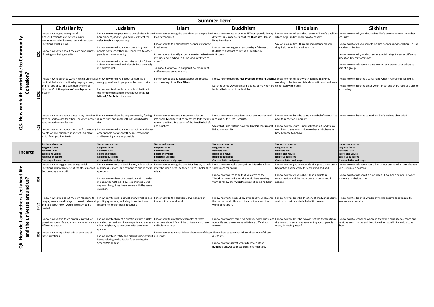|                                                     | <b>Summer Term</b> |                                                                                                                                                                                                                                                    |                                                                                                                                                                                                                                                                                                                                                                                                                                          |                                                                                                                                                                                                                                                                                                                                                                                                                  |                                                                                                                                                                                                                                                                                                                                        |                                                                                                                                                                                                                 |                                                                                                                                                                                                                                                                                                                                                                                                                                   |  |
|-----------------------------------------------------|--------------------|----------------------------------------------------------------------------------------------------------------------------------------------------------------------------------------------------------------------------------------------------|------------------------------------------------------------------------------------------------------------------------------------------------------------------------------------------------------------------------------------------------------------------------------------------------------------------------------------------------------------------------------------------------------------------------------------------|------------------------------------------------------------------------------------------------------------------------------------------------------------------------------------------------------------------------------------------------------------------------------------------------------------------------------------------------------------------------------------------------------------------|----------------------------------------------------------------------------------------------------------------------------------------------------------------------------------------------------------------------------------------------------------------------------------------------------------------------------------------|-----------------------------------------------------------------------------------------------------------------------------------------------------------------------------------------------------------------|-----------------------------------------------------------------------------------------------------------------------------------------------------------------------------------------------------------------------------------------------------------------------------------------------------------------------------------------------------------------------------------------------------------------------------------|--|
|                                                     |                    | Christianity                                                                                                                                                                                                                                       | Judaism                                                                                                                                                                                                                                                                                                                                                                                                                                  | <b>Islam</b>                                                                                                                                                                                                                                                                                                                                                                                                     | <b>Buddhism</b>                                                                                                                                                                                                                                                                                                                        | <b>Hinduism</b>                                                                                                                                                                                                 | <b>Sikhism</b>                                                                                                                                                                                                                                                                                                                                                                                                                    |  |
| Q3. How can faith contribute to Community           | ତୁ                 | know how to give examples of<br>where Christianity can be seen in my<br>ommunity and talk about some of the ways<br>Christians worship God.<br>know how to talk about my own experiences<br>of caring and being cared for.                         | home means, and tell you how Jews treat the<br>Sefer Torah in a special way.<br>know how to tell you about one thing Jewish<br>people do to show they are connected to other<br>people in the community.<br>know how to tell you two rules which I follow<br>at home or at school and identify how they help<br>ne behave well.                                                                                                          | know how to suggest what a Jewish ritual in the I know how to recognise that different people live<br>by different rules.<br>know how to talk about what happens when we<br>break rules<br>I know how to Identify a special rule for behaviour Bhikkunis.<br>at home and in school, e.g. 'be kind' or 'listen to<br>others'.<br>Talk about what would happen if everyone kept,<br>or if everyone broke the rule. | know how to recognise that different people live by<br>different rules and talk about the Buddha's idea of<br>ving harmlessly.<br>know how to suggest a reason why a follower of<br>Buddha might want to live as a Bhikkhus or                                                                                                         | which help Hindu's know how to behave.<br>Say which qualities I think are important and how<br>hey help me to know what to do.                                                                                  | know how to tell you about some of Rama's qualities I know how to tell you about what Sikh's do or where to show they<br>are Sikh's.<br>know how to tell you something that happens at Anand Karaj (a Sikh<br>wedding or festival)<br>know how to tell you about some special things I wear at different<br>times for different occasions.<br>know how to talk about a time where I celebrated with others as<br>part of a group. |  |
| ohesion?                                            | $\mathbf{S}$<br>ž  | know how to describe ways in which Christians I know how to tell you about something a<br>put their beliefs into action by helping others,<br>and tell you about the community work of<br>different Christian places of worship in the<br>ocality. | synagogue offers to people in the community.<br>know how to describe what a Jewish ritual in<br>the home means and tell you about what Bar<br>Mitzvah/ Bar Mitzvot means.                                                                                                                                                                                                                                                                | know how to ask questions about the practice<br>and meaning of the Five Pillars.                                                                                                                                                                                                                                                                                                                                 | know how to describe Five Precepts of the *Buddha. I know how to tell you what happens at a Hindu<br>Describe some ways life may be good, or may be hard celebrated with others.<br>for local followers of the Buddha.                                                                                                                 | wedding or festival and talk about a time when I have                                                                                                                                                           | know how to describe a Langar and what it represents for Sikh's.<br>know how to describe times when I meet and share food as a sign of<br>welcoming.                                                                                                                                                                                                                                                                              |  |
|                                                     | $\sim$<br>Š,       | have helped to care for others, or when people is important and suggest things which foster<br>have helped to care for me.<br>events which I think are important in a place<br>which feels good to live in.                                        | know how to talk about times in my life when III know how to describe why community feeling<br>'his<br>know how to talk about the sort of community I know how to tell you about what I do and what<br>other people do to show they are growing up<br>and becoming more responsible.                                                                                                                                                     | I know how to create an interview with an<br>imaginary Muslim entitled 'What my faith means<br>to me!' and include aspects of the Muslim beliefs<br>and practices.                                                                                                                                                                                                                                               | know how to ask questions about the practice and<br>meaning of the Five Precepts.<br>Show that I understand how the Five Precepts might<br>link to my own life.                                                                                                                                                                        | and its impact on Hindu life.<br>I know how to relate Hindu beliefs about God to my<br>own life and say what influence they might have on<br>how I choose to behave.                                            | know how to describe some Hindu beliefs about God I know how to describe something Sikh's believe about God.                                                                                                                                                                                                                                                                                                                      |  |
| <b>Incerts</b>                                      |                    | <b>Stories and sources</b><br><b>Religious forms</b><br>Believers lives<br>Beliefs and values<br><b>Religious questions</b><br>Contemplation and prayer                                                                                            | <b>Stories and sources</b><br>Religious forms<br>delievers lives<br>Beliefs and values<br>eligious questions<br>Contemplation and prayer                                                                                                                                                                                                                                                                                                 | <b>Stories and sources</b><br><b>Religious forms</b><br><b>Believers lives</b><br><b>Beliefs and values</b><br><b>Religious questions</b><br><b>Contemplation and prayer</b>                                                                                                                                                                                                                                     | stories and sources<br>Religious forms<br>elievers lives<br>eliefs and values<br>eligious questions<br>ontemplation and prayer                                                                                                                                                                                                         | <b>Stories and sources</b><br><b>Religious forms</b><br><b>Believers lives</b><br><b>Beliefs and values</b><br><b>Religious questions</b><br><b>Contemplation and prayer</b>                                    | <b>Stories and sources</b><br><b>Religious forms</b><br><b>Believers lives</b><br><b>Beliefs and values</b><br><b>Religious questions</b><br><b>Contemplation and prayer</b>                                                                                                                                                                                                                                                      |  |
| others feel about life<br>š<br>around               | KS1                | know how to suggest two things which<br>Christians believe because of the stories about<br>God creating the world.                                                                                                                                 | know how to retell a Jewish story which raises<br>questions.<br>know how to think of a question which puzzles<br>me about something I have experienced, and<br>say what I might say to someone with the same<br>question.                                                                                                                                                                                                                | I know how to recognise that Muslims try to look<br>puzzling questions, and respond to one of these after the world because they believe it belongs to shows care for nature.<br>Allah.                                                                                                                                                                                                                          | know how to retell a story of the *Buddha which<br>know how to recognise that followers of the<br>*Buddha try to look after the world because they<br>want to follow the *Buddha's way of doing no harm.                                                                                                                               | I know how to give an example of a good action and<br>bad action and say why they are good and bad.<br>know how to tell you about Hindu beliefs in<br>eincarnation and the importance of doing good<br>actions. | I know how to talk about some Sikh values and retell a story about a<br>Sikh Guru as an example.<br>know how to talk about a time when I have been helped, or when<br>someone has helped me.                                                                                                                                                                                                                                      |  |
| erse<br>and<br>vinu                                 |                    | know how to talk about my own reactions to<br>people, animals and things in the natural world puzzling questions, including its context, and<br>and talk about how I would like them to be<br>reated.                                              | I know how to retell a Jewish story which raises<br>espond to one of those questions.                                                                                                                                                                                                                                                                                                                                                    | I know how to talk about my own behaviour<br>towards the natural world.                                                                                                                                                                                                                                                                                                                                          | know how to talk about my own behaviour towards<br>the natural world: How do I treat animals and the<br>world of nature?.                                                                                                                                                                                                              | know how to describe the story of the Mahabharata<br>and talk about one Hindu belief it conveys.                                                                                                                | I know how to describe what many Sikhs believe about equality,<br>tolerance and service                                                                                                                                                                                                                                                                                                                                           |  |
| $\frac{1}{9}$<br>$\omega$<br>훋<br>and<br>How<br>ဗွိ |                    | know how to give three examples of 'why?'<br>difficult to answer.<br>I know how to say what I think about two of<br>$\mathbf{Q}$ these questions.                                                                                                  | know how to think of a question which puzzles I know how to give three examples of 'why'<br>questions about life and the universe which are me about something I have experienced and say questions about life and the universe which are<br>what I might say to someone with the same<br>question.<br>know how to identify and discuss some difficult questions.<br>issues relating to the Jewish faith during the<br>Second World War. | difficult to answer.                                                                                                                                                                                                                                                                                                                                                                                             | know how to give three examples of 'why' questions<br>about life and the universe which are difficult to<br>answer.<br>I know how to say what I think about two of these I know how to say what I think about two of these<br>questions.<br>know how to suggest what a follower of the<br>Buddha's answer to these questions might be. | know how to describe how one of the themes from<br>the Mahabharata might have an impact on people<br>today, including myself.                                                                                   | know how to recognise where in the world equality, tolerance and<br>servid3e are an issue, and describe what I would like to do about<br>them.                                                                                                                                                                                                                                                                                    |  |